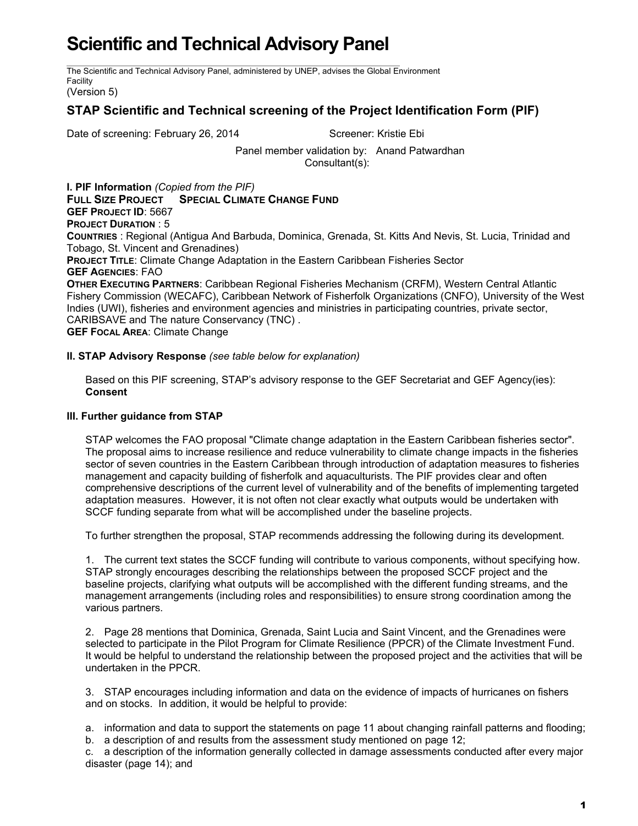## **Scientific and Technical Advisory Panel**

The Scientific and Technical Advisory Panel, administered by UNEP, advises the Global Environment Facility

(Version 5)

## **STAP Scientific and Technical screening of the Project Identification Form (PIF)**

Date of screening: February 26, 2014 Screener: Kristie Ebi

Panel member validation by: Anand Patwardhan Consultant(s):

**I. PIF Information** *(Copied from the PIF)* **FULL SIZE PROJECT SPECIAL CLIMATE CHANGE FUND GEF PROJECT ID**: 5667 **PROJECT DURATION** : 5 **COUNTRIES** : Regional (Antigua And Barbuda, Dominica, Grenada, St. Kitts And Nevis, St. Lucia, Trinidad and Tobago, St. Vincent and Grenadines) **PROJECT TITLE**: Climate Change Adaptation in the Eastern Caribbean Fisheries Sector **GEF AGENCIES**: FAO **OTHER EXECUTING PARTNERS**: Caribbean Regional Fisheries Mechanism (CRFM), Western Central Atlantic Fishery Commission (WECAFC), Caribbean Network of Fisherfolk Organizations (CNFO), University of the West

Indies (UWI), fisheries and environment agencies and ministries in participating countries, private sector, CARIBSAVE and The nature Conservancy (TNC) .

**GEF FOCAL AREA**: Climate Change

## **II. STAP Advisory Response** *(see table below for explanation)*

Based on this PIF screening, STAP's advisory response to the GEF Secretariat and GEF Agency(ies): **Consent**

## **III. Further guidance from STAP**

STAP welcomes the FAO proposal "Climate change adaptation in the Eastern Caribbean fisheries sector". The proposal aims to increase resilience and reduce vulnerability to climate change impacts in the fisheries sector of seven countries in the Eastern Caribbean through introduction of adaptation measures to fisheries management and capacity building of fisherfolk and aquaculturists. The PIF provides clear and often comprehensive descriptions of the current level of vulnerability and of the benefits of implementing targeted adaptation measures. However, it is not often not clear exactly what outputs would be undertaken with SCCF funding separate from what will be accomplished under the baseline projects.

To further strengthen the proposal, STAP recommends addressing the following during its development.

1. The current text states the SCCF funding will contribute to various components, without specifying how. STAP strongly encourages describing the relationships between the proposed SCCF project and the baseline projects, clarifying what outputs will be accomplished with the different funding streams, and the management arrangements (including roles and responsibilities) to ensure strong coordination among the various partners.

2. Page 28 mentions that Dominica, Grenada, Saint Lucia and Saint Vincent, and the Grenadines were selected to participate in the Pilot Program for Climate Resilience (PPCR) of the Climate Investment Fund. It would be helpful to understand the relationship between the proposed project and the activities that will be undertaken in the PPCR.

3. STAP encourages including information and data on the evidence of impacts of hurricanes on fishers and on stocks. In addition, it would be helpful to provide:

a. information and data to support the statements on page 11 about changing rainfall patterns and flooding; b. a description of and results from the assessment study mentioned on page 12;

c. a description of the information generally collected in damage assessments conducted after every major disaster (page 14); and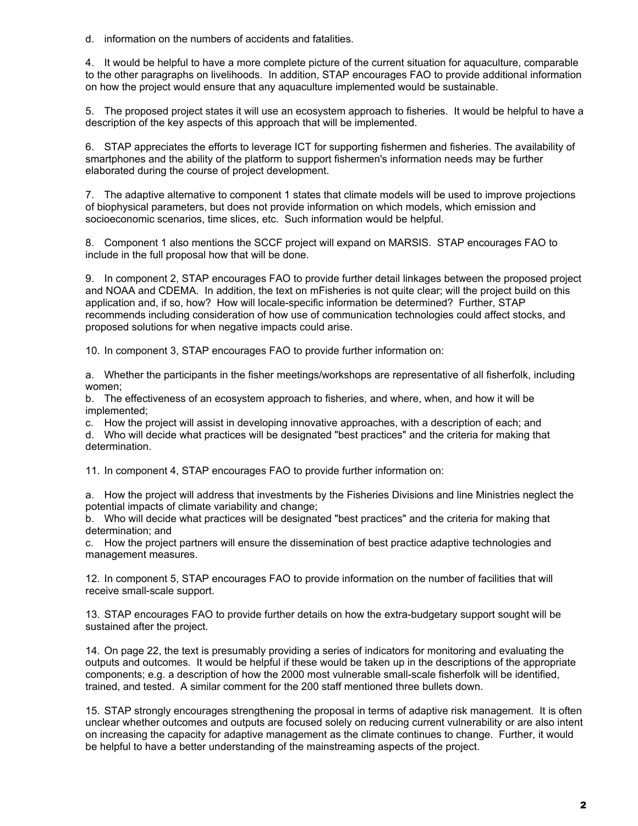d. information on the numbers of accidents and fatalities.

4. It would be helpful to have a more complete picture of the current situation for aquaculture, comparable to the other paragraphs on livelihoods. In addition, STAP encourages FAO to provide additional information on how the project would ensure that any aquaculture implemented would be sustainable.

5. The proposed project states it will use an ecosystem approach to fisheries. It would be helpful to have a description of the key aspects of this approach that will be implemented.

6. STAP appreciates the efforts to leverage ICT for supporting fishermen and fisheries. The availability of smartphones and the ability of the platform to support fishermen's information needs may be further elaborated during the course of project development.

7. The adaptive alternative to component 1 states that climate models will be used to improve projections of biophysical parameters, but does not provide information on which models, which emission and socioeconomic scenarios, time slices, etc. Such information would be helpful.

8. Component 1 also mentions the SCCF project will expand on MARSIS. STAP encourages FAO to include in the full proposal how that will be done.

9. In component 2, STAP encourages FAO to provide further detail linkages between the proposed project and NOAA and CDEMA. In addition, the text on mFisheries is not quite clear; will the project build on this application and, if so, how? How will locale-specific information be determined? Further, STAP recommends including consideration of how use of communication technologies could affect stocks, and proposed solutions for when negative impacts could arise.

10. In component 3, STAP encourages FAO to provide further information on:

a. Whether the participants in the fisher meetings/workshops are representative of all fisherfolk, including women;

b. The effectiveness of an ecosystem approach to fisheries, and where, when, and how it will be implemented;

c. How the project will assist in developing innovative approaches, with a description of each; and

d. Who will decide what practices will be designated "best practices" and the criteria for making that determination.

11. In component 4, STAP encourages FAO to provide further information on:

a. How the project will address that investments by the Fisheries Divisions and line Ministries neglect the potential impacts of climate variability and change;

b. Who will decide what practices will be designated "best practices" and the criteria for making that determination; and

c. How the project partners will ensure the dissemination of best practice adaptive technologies and management measures.

12. In component 5, STAP encourages FAO to provide information on the number of facilities that will receive small-scale support.

13. STAP encourages FAO to provide further details on how the extra-budgetary support sought will be sustained after the project.

14. On page 22, the text is presumably providing a series of indicators for monitoring and evaluating the outputs and outcomes. It would be helpful if these would be taken up in the descriptions of the appropriate components; e.g. a description of how the 2000 most vulnerable small-scale fisherfolk will be identified, trained, and tested. A similar comment for the 200 staff mentioned three bullets down.

15. STAP strongly encourages strengthening the proposal in terms of adaptive risk management. It is often unclear whether outcomes and outputs are focused solely on reducing current vulnerability or are also intent on increasing the capacity for adaptive management as the climate continues to change. Further, it would be helpful to have a better understanding of the mainstreaming aspects of the project.